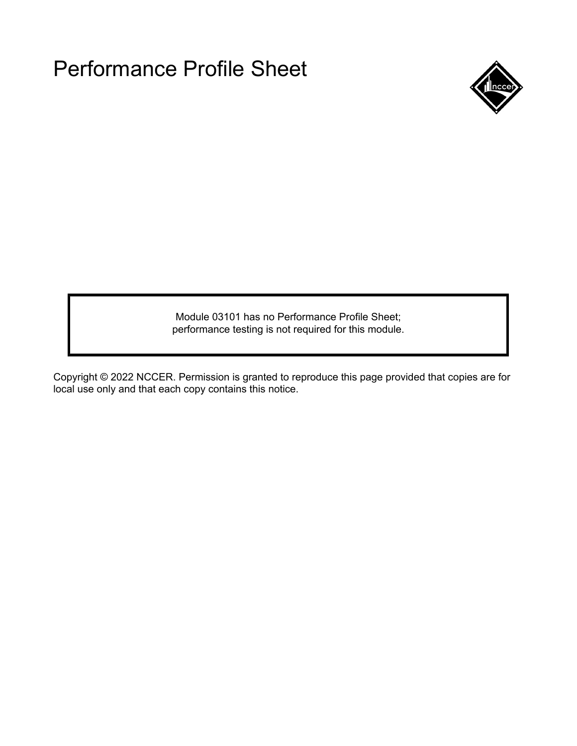

Module 03101 has no Performance Profile Sheet; performance testing is not required for this module.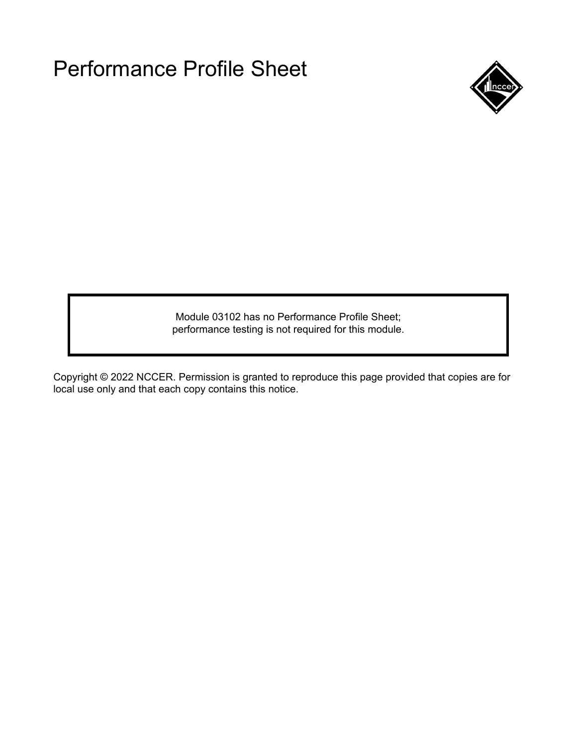

Module 03102 has no Performance Profile Sheet; performance testing is not required for this module.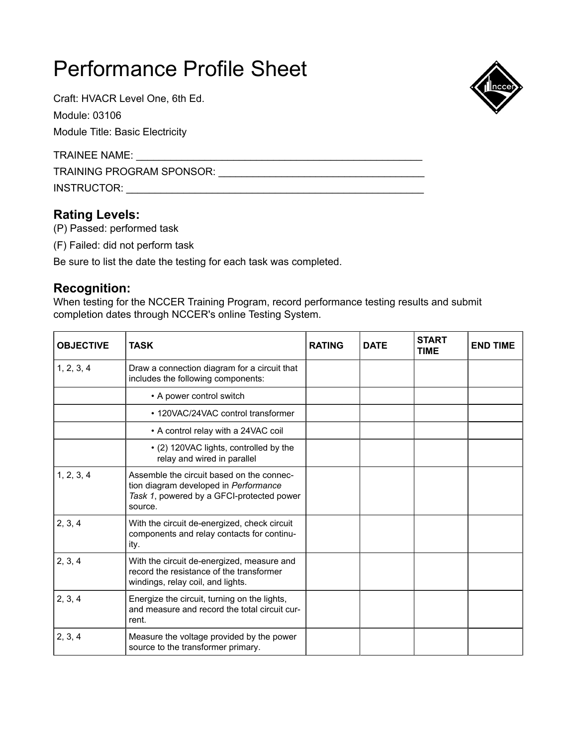Craft: HVACR Level One, 6th Ed.

Module: 03106

Module Title: Basic Electricity

TRAINEE NAME: \_\_\_\_\_\_\_\_\_\_\_\_\_\_\_\_\_\_\_\_\_\_\_\_\_\_\_\_\_\_\_\_\_\_\_\_\_\_\_\_\_\_\_\_\_\_\_\_\_\_

TRAINING PROGRAM SPONSOR: \_\_\_\_\_\_\_\_\_\_\_\_\_\_\_\_\_\_\_\_\_\_\_\_\_\_\_\_\_\_\_\_\_\_\_\_

INSTRUCTOR: \_\_\_\_\_\_\_\_\_\_\_\_\_\_\_\_\_\_\_\_\_\_\_\_\_\_\_\_\_\_\_\_\_\_\_\_\_\_\_\_\_\_\_\_\_\_\_\_\_\_\_\_

### **Rating Levels:**

(P) Passed: performed task

(F) Failed: did not perform task

Be sure to list the date the testing for each task was completed.

### **Recognition:**

When testing for the NCCER Training Program, record performance testing results and submit completion dates through NCCER's online Testing System.

| <b>OBJECTIVE</b> | <b>TASK</b>                                                                                                                                | <b>RATING</b> | <b>DATE</b> | <b>START</b><br><b>TIME</b> | <b>END TIME</b> |
|------------------|--------------------------------------------------------------------------------------------------------------------------------------------|---------------|-------------|-----------------------------|-----------------|
| 1, 2, 3, 4       | Draw a connection diagram for a circuit that<br>includes the following components:                                                         |               |             |                             |                 |
|                  | • A power control switch                                                                                                                   |               |             |                             |                 |
|                  | • 120VAC/24VAC control transformer                                                                                                         |               |             |                             |                 |
|                  | • A control relay with a 24VAC coil                                                                                                        |               |             |                             |                 |
|                  | • (2) 120VAC lights, controlled by the<br>relay and wired in parallel                                                                      |               |             |                             |                 |
| 1, 2, 3, 4       | Assemble the circuit based on the connec-<br>tion diagram developed in Performance<br>Task 1, powered by a GFCI-protected power<br>source. |               |             |                             |                 |
| 2, 3, 4          | With the circuit de-energized, check circuit<br>components and relay contacts for continu-<br>ity.                                         |               |             |                             |                 |
| 2, 3, 4          | With the circuit de-energized, measure and<br>record the resistance of the transformer<br>windings, relay coil, and lights.                |               |             |                             |                 |
| 2, 3, 4          | Energize the circuit, turning on the lights,<br>and measure and record the total circuit cur-<br>rent.                                     |               |             |                             |                 |
| 2, 3, 4          | Measure the voltage provided by the power<br>source to the transformer primary.                                                            |               |             |                             |                 |

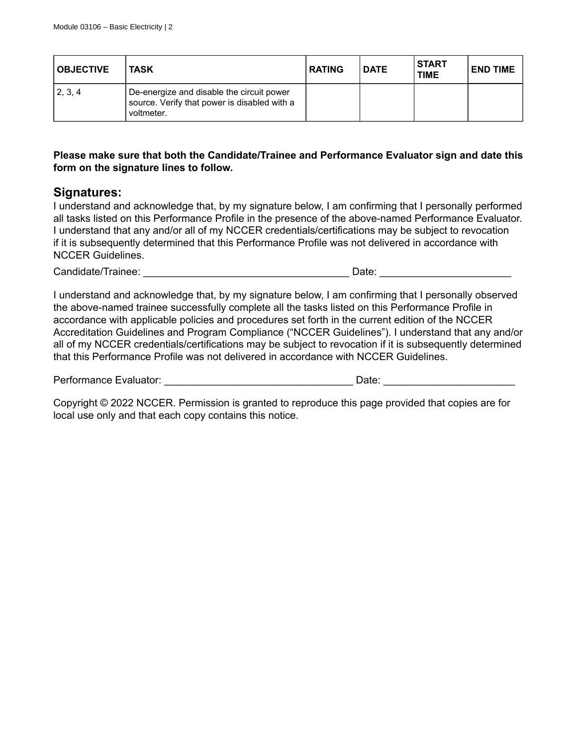| <b>OBJECTIVE</b> | <b>TASK</b>                                                                                             | <b>RATING</b> | <b>DATE</b> | <b>START</b><br><b>TIME</b> | <b>END TIME</b> |
|------------------|---------------------------------------------------------------------------------------------------------|---------------|-------------|-----------------------------|-----------------|
| 2, 3, 4          | De-energize and disable the circuit power<br>source. Verify that power is disabled with a<br>voltmeter. |               |             |                             |                 |

#### **Please make sure that both the Candidate/Trainee and Performance Evaluator sign and date this form on the signature lines to follow.**

#### **Signatures:**

I understand and acknowledge that, by my signature below, I am confirming that I personally performed all tasks listed on this Performance Profile in the presence of the above-named Performance Evaluator. I understand that any and/or all of my NCCER credentials/certifications may be subject to revocation if it is subsequently determined that this Performance Profile was not delivered in accordance with NCCER Guidelines.

Candidate/Trainee: \_\_\_\_\_\_\_\_\_\_\_\_\_\_\_\_\_\_\_\_\_\_\_\_\_\_\_\_\_\_\_\_\_\_\_\_ Date: \_\_\_\_\_\_\_\_\_\_\_\_\_\_\_\_\_\_\_\_\_\_\_

I understand and acknowledge that, by my signature below, I am confirming that I personally observed the above-named trainee successfully complete all the tasks listed on this Performance Profile in accordance with applicable policies and procedures set forth in the current edition of the NCCER Accreditation Guidelines and Program Compliance ("NCCER Guidelines"). I understand that any and/or all of my NCCER credentials/certifications may be subject to revocation if it is subsequently determined that this Performance Profile was not delivered in accordance with NCCER Guidelines.

Performance Evaluator: \_\_\_\_\_\_\_\_\_\_\_\_\_\_\_\_\_\_\_\_\_\_\_\_\_\_\_\_\_\_\_\_\_ Date: \_\_\_\_\_\_\_\_\_\_\_\_\_\_\_\_\_\_\_\_\_\_\_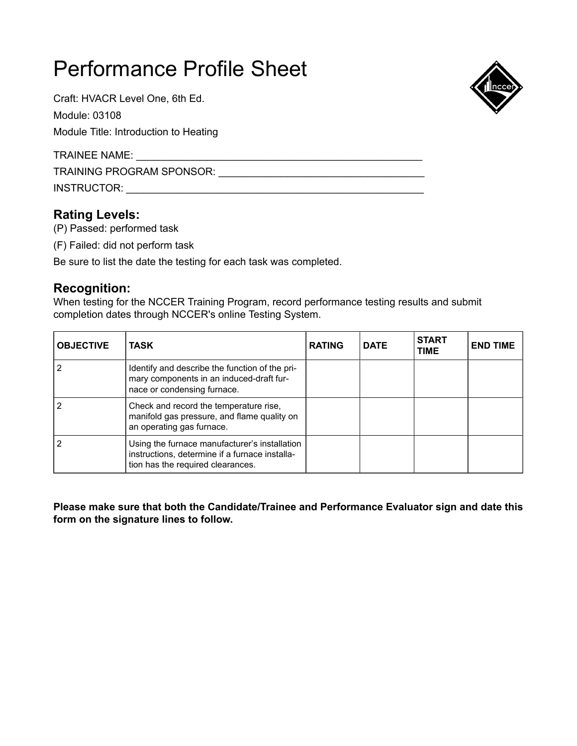Craft: HVACR Level One, 6th Ed.

Module: 03108

Module Title: Introduction to Heating

TRAINEE NAME: \_\_\_\_\_\_

TRAINING PROGRAM SPONSOR: \_\_\_\_\_\_\_\_\_\_\_\_\_\_\_\_\_\_\_\_\_\_\_\_\_\_\_\_\_\_\_\_\_\_\_\_

INSTRUCTOR: \_\_\_\_\_\_\_\_\_\_\_\_\_\_\_\_\_\_\_\_\_\_\_\_\_\_\_\_\_\_\_\_\_\_\_\_\_\_\_\_\_\_\_\_\_\_\_\_\_\_\_\_

## **Rating Levels:**

(P) Passed: performed task

(F) Failed: did not perform task

Be sure to list the date the testing for each task was completed.

### **Recognition:**

When testing for the NCCER Training Program, record performance testing results and submit completion dates through NCCER's online Testing System.

| <b>OBJECTIVE</b> | <b>TASK</b>                                                                                                                          | <b>RATING</b> | <b>DATE</b> | <b>START</b><br><b>TIME</b> | <b>END TIME</b> |
|------------------|--------------------------------------------------------------------------------------------------------------------------------------|---------------|-------------|-----------------------------|-----------------|
|                  | Identify and describe the function of the pri-<br>mary components in an induced-draft fur-<br>nace or condensing furnace.            |               |             |                             |                 |
|                  | Check and record the temperature rise,<br>manifold gas pressure, and flame quality on<br>an operating gas furnace.                   |               |             |                             |                 |
|                  | Using the furnace manufacturer's installation<br>instructions, determine if a furnace installa-<br>tion has the required clearances. |               |             |                             |                 |

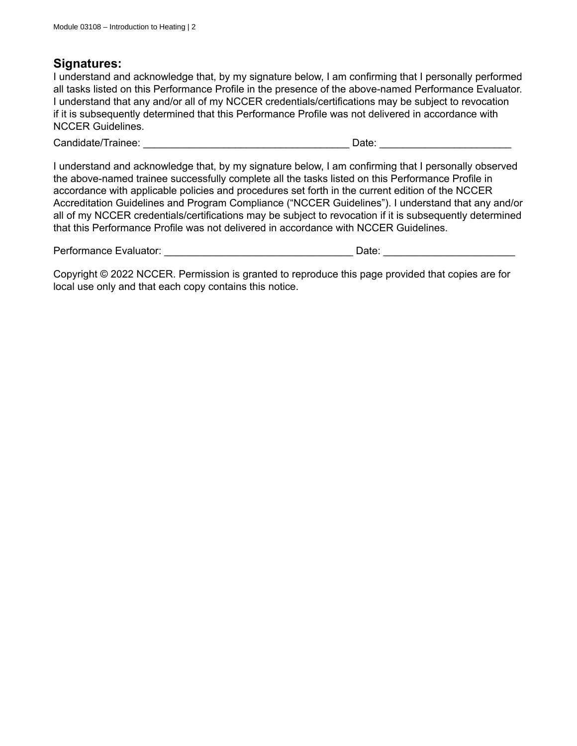I understand and acknowledge that, by my signature below, I am confirming that I personally performed all tasks listed on this Performance Profile in the presence of the above-named Performance Evaluator. I understand that any and/or all of my NCCER credentials/certifications may be subject to revocation if it is subsequently determined that this Performance Profile was not delivered in accordance with NCCER Guidelines.

Candidate/Trainee: \_\_\_\_\_\_\_\_\_\_\_\_\_\_\_\_\_\_\_\_\_\_\_\_\_\_\_\_\_\_\_\_\_\_\_\_ Date: \_\_\_\_\_\_\_\_\_\_\_\_\_\_\_\_\_\_\_\_\_\_\_

I understand and acknowledge that, by my signature below, I am confirming that I personally observed the above-named trainee successfully complete all the tasks listed on this Performance Profile in accordance with applicable policies and procedures set forth in the current edition of the NCCER Accreditation Guidelines and Program Compliance ("NCCER Guidelines"). I understand that any and/or all of my NCCER credentials/certifications may be subject to revocation if it is subsequently determined that this Performance Profile was not delivered in accordance with NCCER Guidelines.

| Performance Evaluator: |  | Jate |  |
|------------------------|--|------|--|
|------------------------|--|------|--|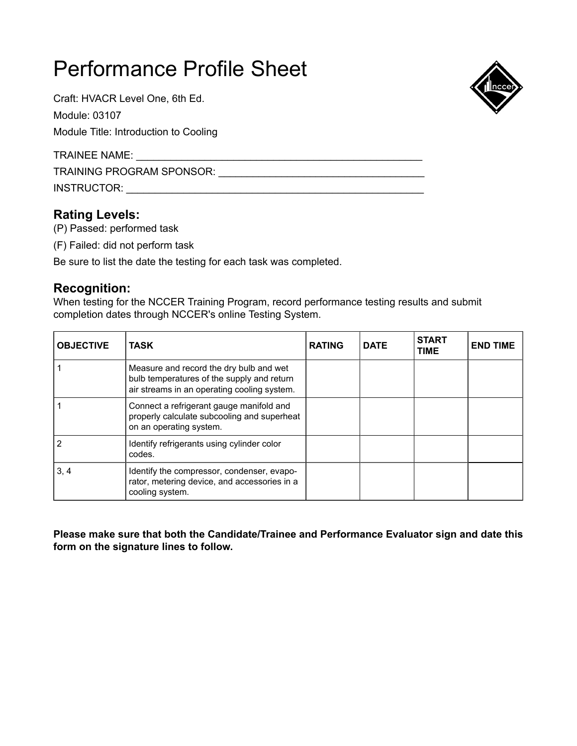Craft: HVACR Level One, 6th Ed.

Module: 03107

Module Title: Introduction to Cooling

TRAINEE NAME: \_\_\_\_\_\_

TRAINING PROGRAM SPONSOR: \_\_\_\_\_\_\_\_\_\_\_\_\_\_\_\_\_\_\_\_\_\_\_\_\_\_\_\_\_\_\_\_\_\_\_\_

INSTRUCTOR: \_\_\_\_\_\_\_\_\_\_\_\_\_\_\_\_\_\_\_\_\_\_\_\_\_\_\_\_\_\_\_\_\_\_\_\_\_\_\_\_\_\_\_\_\_\_\_\_\_\_\_\_

## **Rating Levels:**

(P) Passed: performed task

(F) Failed: did not perform task

Be sure to list the date the testing for each task was completed.

### **Recognition:**

When testing for the NCCER Training Program, record performance testing results and submit completion dates through NCCER's online Testing System.

| <b>OBJECTIVE</b> | <b>TASK</b>                                                                                                                          | <b>RATING</b> | <b>DATE</b> | <b>START</b><br><b>TIME</b> | <b>END TIME</b> |
|------------------|--------------------------------------------------------------------------------------------------------------------------------------|---------------|-------------|-----------------------------|-----------------|
|                  | Measure and record the dry bulb and wet<br>bulb temperatures of the supply and return<br>air streams in an operating cooling system. |               |             |                             |                 |
|                  | Connect a refrigerant gauge manifold and<br>properly calculate subcooling and superheat<br>on an operating system.                   |               |             |                             |                 |
|                  | Identify refrigerants using cylinder color<br>codes.                                                                                 |               |             |                             |                 |
| 3, 4             | Identify the compressor, condenser, evapo-<br>rator, metering device, and accessories in a<br>cooling system.                        |               |             |                             |                 |

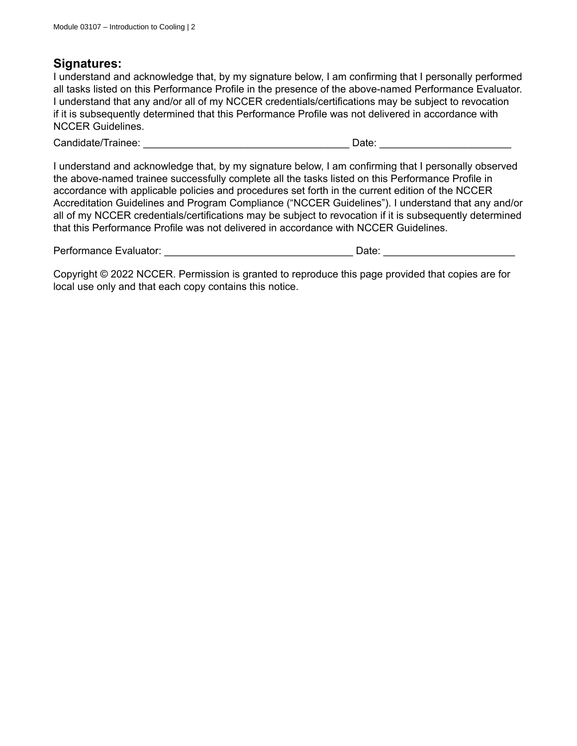I understand and acknowledge that, by my signature below, I am confirming that I personally performed all tasks listed on this Performance Profile in the presence of the above-named Performance Evaluator. I understand that any and/or all of my NCCER credentials/certifications may be subject to revocation if it is subsequently determined that this Performance Profile was not delivered in accordance with NCCER Guidelines.

Candidate/Trainee: \_\_\_\_\_\_\_\_\_\_\_\_\_\_\_\_\_\_\_\_\_\_\_\_\_\_\_\_\_\_\_\_\_\_\_\_ Date: \_\_\_\_\_\_\_\_\_\_\_\_\_\_\_\_\_\_\_\_\_\_\_

I understand and acknowledge that, by my signature below, I am confirming that I personally observed the above-named trainee successfully complete all the tasks listed on this Performance Profile in accordance with applicable policies and procedures set forth in the current edition of the NCCER Accreditation Guidelines and Program Compliance ("NCCER Guidelines"). I understand that any and/or all of my NCCER credentials/certifications may be subject to revocation if it is subsequently determined that this Performance Profile was not delivered in accordance with NCCER Guidelines.

| Performance Evaluator: |  | Jate |  |
|------------------------|--|------|--|
|------------------------|--|------|--|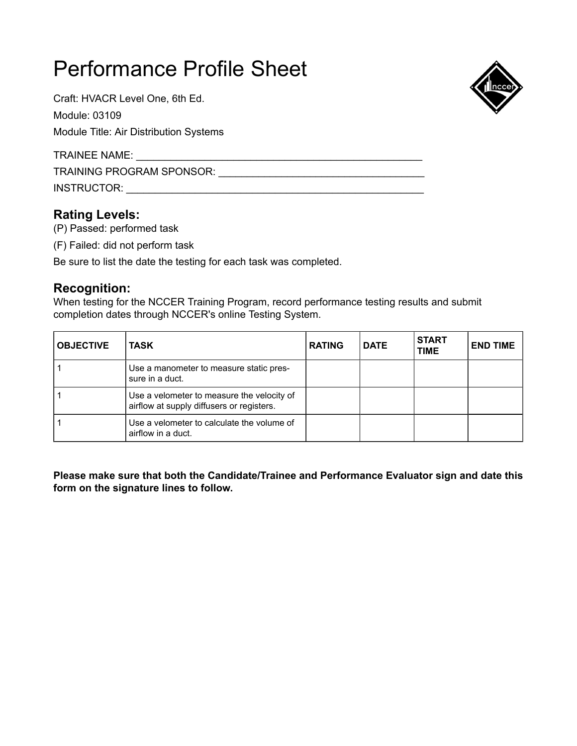Craft: HVACR Level One, 6th Ed. Module: 03109

Module Title: Air Distribution Systems

TRAINEE NAME: \_\_\_\_\_\_\_\_\_\_\_\_\_\_\_\_\_\_\_\_\_\_\_\_\_\_\_\_\_\_\_\_\_\_\_\_\_\_\_\_\_\_\_\_\_\_\_\_\_\_

TRAINING PROGRAM SPONSOR: \_\_\_\_\_\_\_\_\_\_\_\_\_\_\_\_\_\_\_\_\_\_\_\_\_\_\_\_\_\_\_\_\_\_\_\_

INSTRUCTOR: \_\_\_\_\_\_\_\_\_\_\_\_\_\_\_\_\_\_\_\_\_\_\_\_\_\_\_\_\_\_\_\_\_\_\_\_\_\_\_\_\_\_\_\_\_\_\_\_\_\_\_\_

### **Rating Levels:**

(P) Passed: performed task

(F) Failed: did not perform task

Be sure to list the date the testing for each task was completed.

### **Recognition:**

When testing for the NCCER Training Program, record performance testing results and submit completion dates through NCCER's online Testing System.

| <b>OBJECTIVE</b> | <b>TASK</b>                                                                             | <b>RATING</b> | <b>DATE</b> | <b>START</b><br><b>TIME</b> | <b>END TIME</b> |
|------------------|-----------------------------------------------------------------------------------------|---------------|-------------|-----------------------------|-----------------|
|                  | Use a manometer to measure static pres-<br>sure in a duct.                              |               |             |                             |                 |
|                  | Use a velometer to measure the velocity of<br>airflow at supply diffusers or registers. |               |             |                             |                 |
|                  | Use a velometer to calculate the volume of<br>airflow in a duct.                        |               |             |                             |                 |

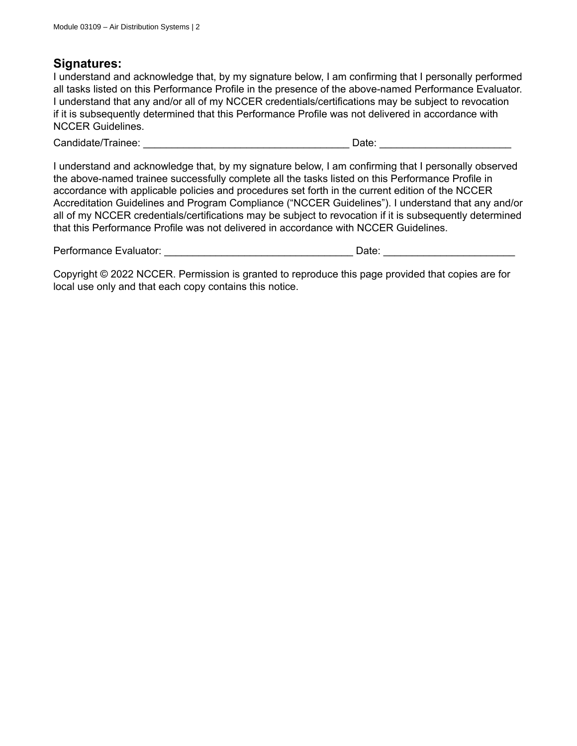I understand and acknowledge that, by my signature below, I am confirming that I personally performed all tasks listed on this Performance Profile in the presence of the above-named Performance Evaluator. I understand that any and/or all of my NCCER credentials/certifications may be subject to revocation if it is subsequently determined that this Performance Profile was not delivered in accordance with NCCER Guidelines.

Candidate/Trainee: \_\_\_\_\_\_\_\_\_\_\_\_\_\_\_\_\_\_\_\_\_\_\_\_\_\_\_\_\_\_\_\_\_\_\_\_ Date: \_\_\_\_\_\_\_\_\_\_\_\_\_\_\_\_\_\_\_\_\_\_\_

I understand and acknowledge that, by my signature below, I am confirming that I personally observed the above-named trainee successfully complete all the tasks listed on this Performance Profile in accordance with applicable policies and procedures set forth in the current edition of the NCCER Accreditation Guidelines and Program Compliance ("NCCER Guidelines"). I understand that any and/or all of my NCCER credentials/certifications may be subject to revocation if it is subsequently determined that this Performance Profile was not delivered in accordance with NCCER Guidelines.

| Performance Evaluator: |  | Jate |  |
|------------------------|--|------|--|
|------------------------|--|------|--|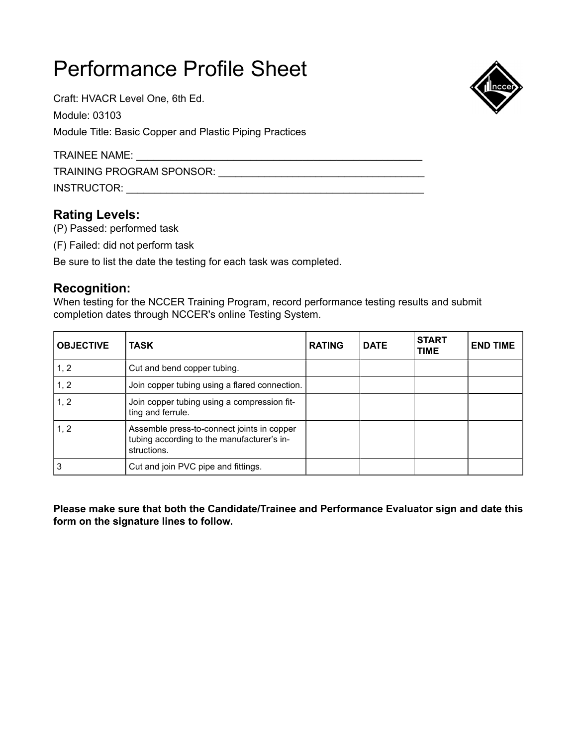Craft: HVACR Level One, 6th Ed.

Module: 03103

Module Title: Basic Copper and Plastic Piping Practices

TRAINEE NAME: \_\_\_\_\_\_\_\_\_\_\_\_\_\_\_\_\_\_\_\_\_\_\_\_\_\_\_\_\_\_\_\_\_\_\_\_\_\_\_\_\_\_\_\_\_\_\_\_\_\_

TRAINING PROGRAM SPONSOR: \_\_\_\_\_\_\_\_\_\_\_\_\_\_\_\_\_\_\_\_\_\_\_\_\_\_\_\_\_\_\_\_\_\_\_\_

INSTRUCTOR: \_\_\_\_\_\_\_\_\_\_\_\_\_\_\_\_\_\_\_\_\_\_\_\_\_\_\_\_\_\_\_\_\_\_\_\_\_\_\_\_\_\_\_\_\_\_\_\_\_\_\_\_

## **Rating Levels:**

(P) Passed: performed task

(F) Failed: did not perform task

Be sure to list the date the testing for each task was completed.

### **Recognition:**

When testing for the NCCER Training Program, record performance testing results and submit completion dates through NCCER's online Testing System.

| <b>OBJECTIVE</b> | <b>TASK</b>                                                                                             | <b>RATING</b> | <b>DATE</b> | <b>START</b><br><b>TIME</b> | <b>END TIME</b> |
|------------------|---------------------------------------------------------------------------------------------------------|---------------|-------------|-----------------------------|-----------------|
| 1, 2             | Cut and bend copper tubing.                                                                             |               |             |                             |                 |
| 1, 2             | Join copper tubing using a flared connection.                                                           |               |             |                             |                 |
| 1, 2             | Join copper tubing using a compression fit-<br>ting and ferrule.                                        |               |             |                             |                 |
| 1, 2             | Assemble press-to-connect joints in copper<br>tubing according to the manufacturer's in-<br>structions. |               |             |                             |                 |
|                  | Cut and join PVC pipe and fittings.                                                                     |               |             |                             |                 |

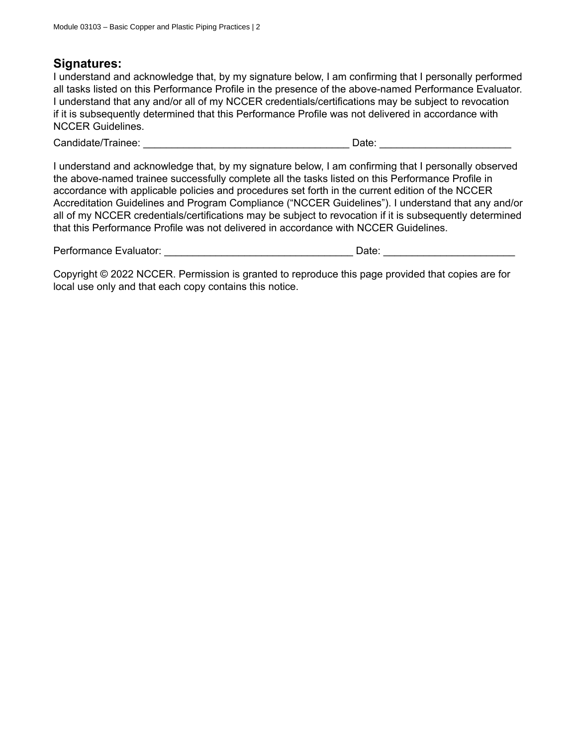I understand and acknowledge that, by my signature below, I am confirming that I personally performed all tasks listed on this Performance Profile in the presence of the above-named Performance Evaluator. I understand that any and/or all of my NCCER credentials/certifications may be subject to revocation if it is subsequently determined that this Performance Profile was not delivered in accordance with NCCER Guidelines.

Candidate/Trainee: \_\_\_\_\_\_\_\_\_\_\_\_\_\_\_\_\_\_\_\_\_\_\_\_\_\_\_\_\_\_\_\_\_\_\_\_ Date: \_\_\_\_\_\_\_\_\_\_\_\_\_\_\_\_\_\_\_\_\_\_\_

I understand and acknowledge that, by my signature below, I am confirming that I personally observed the above-named trainee successfully complete all the tasks listed on this Performance Profile in accordance with applicable policies and procedures set forth in the current edition of the NCCER Accreditation Guidelines and Program Compliance ("NCCER Guidelines"). I understand that any and/or all of my NCCER credentials/certifications may be subject to revocation if it is subsequently determined that this Performance Profile was not delivered in accordance with NCCER Guidelines.

| Performance Evaluator: | Jate |  |
|------------------------|------|--|
|------------------------|------|--|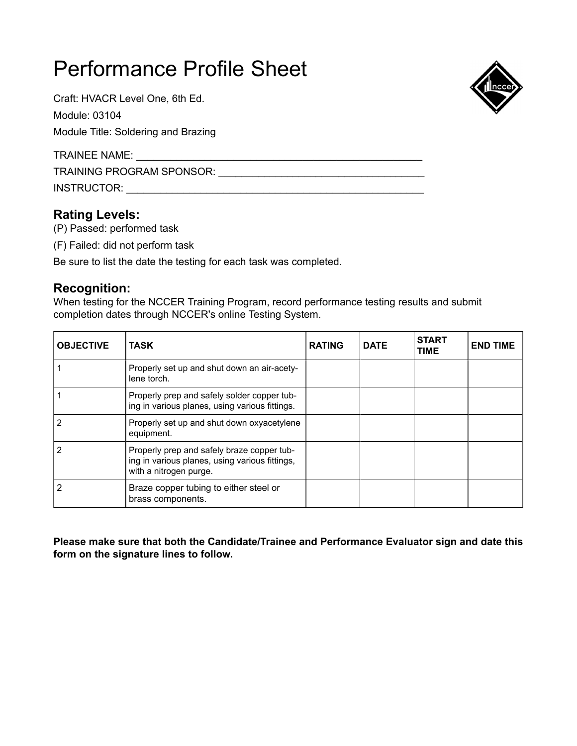Craft: HVACR Level One, 6th Ed.

Module: 03104

Module Title: Soldering and Brazing

TRAINEE NAME: \_\_\_\_\_\_\_\_\_\_\_\_\_\_\_\_\_\_\_\_\_\_\_\_\_\_\_\_\_\_\_\_\_\_\_\_\_\_\_\_\_\_\_\_\_\_\_\_\_\_

TRAINING PROGRAM SPONSOR: \_\_\_\_\_\_\_\_\_\_\_\_\_\_\_\_\_\_\_\_\_\_\_\_\_\_\_\_\_\_\_\_\_\_\_\_

INSTRUCTOR: \_\_\_\_\_\_\_\_\_\_\_\_\_\_\_\_\_\_\_\_\_\_\_\_\_\_\_\_\_\_\_\_\_\_\_\_\_\_\_\_\_\_\_\_\_\_\_\_\_\_\_\_

## **Rating Levels:**

(P) Passed: performed task

(F) Failed: did not perform task

Be sure to list the date the testing for each task was completed.

### **Recognition:**

When testing for the NCCER Training Program, record performance testing results and submit completion dates through NCCER's online Testing System.

| <b>OBJECTIVE</b> | <b>TASK</b>                                                                                                            | <b>RATING</b> | <b>DATE</b> | <b>START</b><br><b>TIME</b> | <b>END TIME</b> |
|------------------|------------------------------------------------------------------------------------------------------------------------|---------------|-------------|-----------------------------|-----------------|
|                  | Properly set up and shut down an air-acety-<br>lene torch.                                                             |               |             |                             |                 |
|                  | Properly prep and safely solder copper tub-<br>ing in various planes, using various fittings.                          |               |             |                             |                 |
|                  | Properly set up and shut down oxyacetylene<br>equipment.                                                               |               |             |                             |                 |
|                  | Properly prep and safely braze copper tub-<br>ing in various planes, using various fittings,<br>with a nitrogen purge. |               |             |                             |                 |
|                  | Braze copper tubing to either steel or<br>brass components.                                                            |               |             |                             |                 |

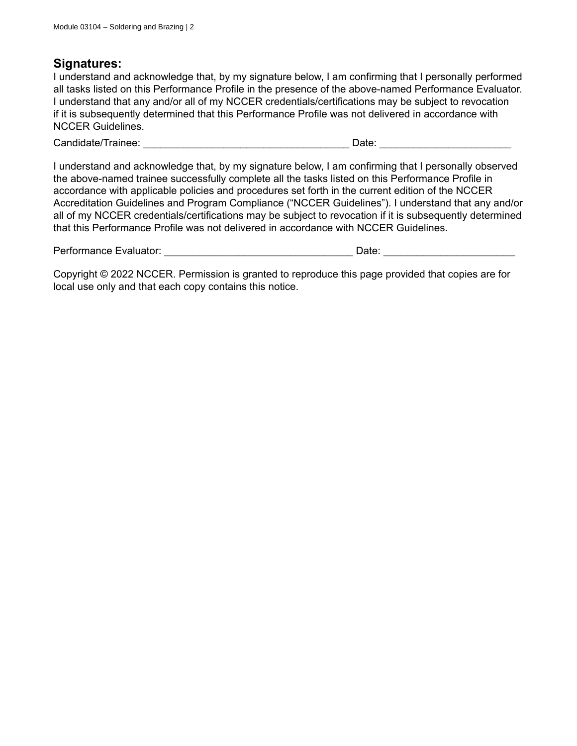I understand and acknowledge that, by my signature below, I am confirming that I personally performed all tasks listed on this Performance Profile in the presence of the above-named Performance Evaluator. I understand that any and/or all of my NCCER credentials/certifications may be subject to revocation if it is subsequently determined that this Performance Profile was not delivered in accordance with NCCER Guidelines.

Candidate/Trainee: \_\_\_\_\_\_\_\_\_\_\_\_\_\_\_\_\_\_\_\_\_\_\_\_\_\_\_\_\_\_\_\_\_\_\_\_ Date: \_\_\_\_\_\_\_\_\_\_\_\_\_\_\_\_\_\_\_\_\_\_\_

I understand and acknowledge that, by my signature below, I am confirming that I personally observed the above-named trainee successfully complete all the tasks listed on this Performance Profile in accordance with applicable policies and procedures set forth in the current edition of the NCCER Accreditation Guidelines and Program Compliance ("NCCER Guidelines"). I understand that any and/or all of my NCCER credentials/certifications may be subject to revocation if it is subsequently determined that this Performance Profile was not delivered in accordance with NCCER Guidelines.

| Performance Evaluator: |  | Jate |  |
|------------------------|--|------|--|
|------------------------|--|------|--|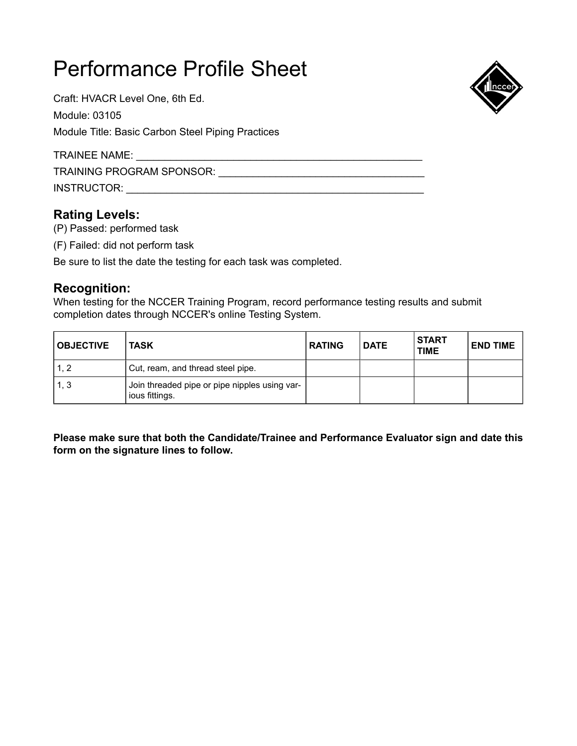Craft: HVACR Level One, 6th Ed. Module: 03105

Module Title: Basic Carbon Steel Piping Practices

TRAINEE NAME: \_\_\_\_\_\_\_

TRAINING PROGRAM SPONSOR: \_\_\_\_\_\_\_\_\_\_\_\_\_\_\_\_\_\_\_\_\_\_\_\_\_\_\_\_\_\_\_\_\_\_\_\_

INSTRUCTOR: \_\_\_\_\_\_\_\_\_\_\_\_\_\_\_\_\_\_\_\_\_\_\_\_\_\_\_\_\_\_\_\_\_\_\_\_\_\_\_\_\_\_\_\_\_\_\_\_\_\_\_\_

## **Rating Levels:**

(P) Passed: performed task

(F) Failed: did not perform task

Be sure to list the date the testing for each task was completed.

## **Recognition:**

When testing for the NCCER Training Program, record performance testing results and submit completion dates through NCCER's online Testing System.

| <b>OBJECTIVE</b> | <b>TASK</b>                                                     | <b>RATING</b> | <b>DATE</b> | I START<br><b>TIME</b> | <b>END TIME</b> |
|------------------|-----------------------------------------------------------------|---------------|-------------|------------------------|-----------------|
| 1.2              | Cut, ream, and thread steel pipe.                               |               |             |                        |                 |
| 1, 3             | Join threaded pipe or pipe nipples using var-<br>ious fittings. |               |             |                        |                 |